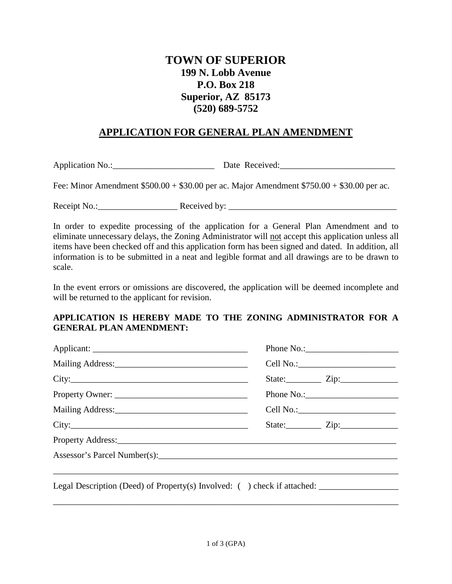## **TOWN OF SUPERIOR 199 N. Lobb Avenue P.O. Box 218 Superior, AZ 85173 (520) 689-5752**

## **APPLICATION FOR GENERAL PLAN AMENDMENT**

Application No.:\_\_\_\_\_\_\_\_\_\_\_\_\_\_\_\_\_\_\_\_\_\_\_ Date Received:\_\_\_\_\_\_\_\_\_\_\_\_\_\_\_\_\_\_\_\_\_\_\_\_\_\_

Fee: Minor Amendment \$500.00 + \$30.00 per ac. Major Amendment \$750.00 + \$30.00 per ac.

Receipt No.:\_\_\_\_\_\_\_\_\_\_\_\_\_\_\_\_\_\_ Received by: \_\_\_\_\_\_\_\_\_\_\_\_\_\_\_\_\_\_\_\_\_\_\_\_\_\_\_\_\_\_\_\_\_\_\_\_\_\_

In order to expedite processing of the application for a General Plan Amendment and to eliminate unnecessary delays, the Zoning Administrator will not accept this application unless all items have been checked off and this application form has been signed and dated. In addition, all information is to be submitted in a neat and legible format and all drawings are to be drawn to scale.

In the event errors or omissions are discovered, the application will be deemed incomplete and will be returned to the applicant for revision.

## **APPLICATION IS HEREBY MADE TO THE ZONING ADMINISTRATOR FOR A GENERAL PLAN AMENDMENT:**

|                                                                          |  | State: <u>Zip:</u> <u>Zip:</u> |  |  |  |
|--------------------------------------------------------------------------|--|--------------------------------|--|--|--|
|                                                                          |  |                                |  |  |  |
|                                                                          |  |                                |  |  |  |
| City:                                                                    |  |                                |  |  |  |
|                                                                          |  |                                |  |  |  |
|                                                                          |  |                                |  |  |  |
|                                                                          |  |                                |  |  |  |
| Legal Description (Deed) of Property(s) Involved: ( ) check if attached: |  |                                |  |  |  |
|                                                                          |  |                                |  |  |  |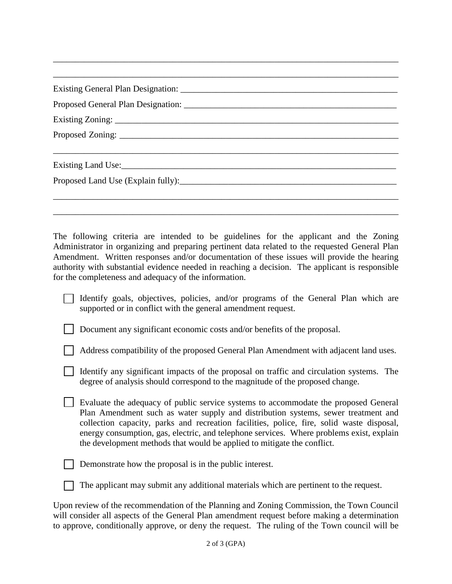| Existing Land Use: https://www.archive.com/communications/communications/communications/communications/communications/communications/communications/communications/communications/communications/communications/communications |  |
|--------------------------------------------------------------------------------------------------------------------------------------------------------------------------------------------------------------------------------|--|
|                                                                                                                                                                                                                                |  |
|                                                                                                                                                                                                                                |  |
|                                                                                                                                                                                                                                |  |

\_\_\_\_\_\_\_\_\_\_\_\_\_\_\_\_\_\_\_\_\_\_\_\_\_\_\_\_\_\_\_\_\_\_\_\_\_\_\_\_\_\_\_\_\_\_\_\_\_\_\_\_\_\_\_\_\_\_\_\_\_\_\_\_\_\_\_\_\_\_\_\_\_\_\_\_\_\_

The following criteria are intended to be guidelines for the applicant and the Zoning Administrator in organizing and preparing pertinent data related to the requested General Plan Amendment. Written responses and/or documentation of these issues will provide the hearing authority with substantial evidence needed in reaching a decision. The applicant is responsible for the completeness and adequacy of the information.

|                                                              |  | Identify goals, objectives, policies, and/or programs of the General Plan which are |  |  |  |  |  |  |  |  |  |
|--------------------------------------------------------------|--|-------------------------------------------------------------------------------------|--|--|--|--|--|--|--|--|--|
| supported or in conflict with the general amendment request. |  |                                                                                     |  |  |  |  |  |  |  |  |  |

Document any significant economic costs and/or benefits of the proposal.

Address compatibility of the proposed General Plan Amendment with adjacent land uses.

| Identify any significant impacts of the proposal on traffic and circulation systems. The |  |
|------------------------------------------------------------------------------------------|--|
| degree of analysis should correspond to the magnitude of the proposed change.            |  |

 Evaluate the adequacy of public service systems to accommodate the proposed General Plan Amendment such as water supply and distribution systems, sewer treatment and collection capacity, parks and recreation facilities, police, fire, solid waste disposal, energy consumption, gas, electric, and telephone services. Where problems exist, explain the development methods that would be applied to mitigate the conflict.

Demonstrate how the proposal is in the public interest.

The applicant may submit any additional materials which are pertinent to the request.

Upon review of the recommendation of the Planning and Zoning Commission, the Town Council will consider all aspects of the General Plan amendment request before making a determination to approve, conditionally approve, or deny the request. The ruling of the Town council will be